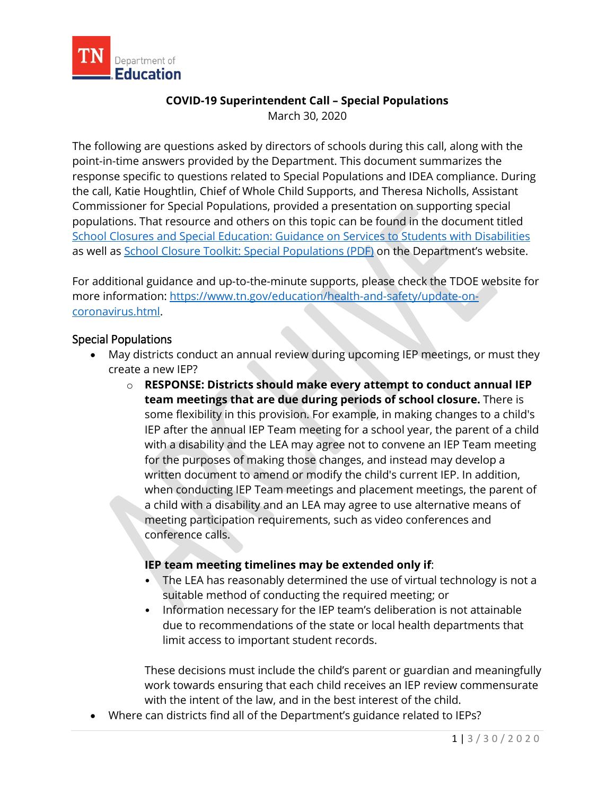

## **COVID-19 Superintendent Call – Special Populations**

March 30, 2020

The following are questions asked by directors of schools during this call, along with the point-in-time answers provided by the Department. This document summarizes the response specific to questions related to Special Populations and IDEA compliance. During the call, Katie Houghtlin, Chief of Whole Child Supports, and Theresa Nicholls, Assistant Commissioner for Special Populations, provided a presentation on supporting special populations. That resource and others on this topic can be found in the document titled [School Closures and Special Education: Guidance on Services to Students with Disabilities](https://www.tn.gov/content/dam/tn/education/health-&-safety/SPED%20Guidance%20COVID_TN%20Final.pdf) as well as [School Closure Toolkit: Special Populations \(PDF\)](https://www.tn.gov/content/dam/tn/education/health-&-safety/School%20Closure%20Toolkit_Special%20Populations.pdf) on the Department's website.

For additional guidance and up-to-the-minute supports, please check the TDOE website for more information: [https://www.tn.gov/education/health-and-safety/update-on](https://www.tn.gov/education/health-and-safety/update-on-coronavirus.html)[coronavirus.html.](https://www.tn.gov/education/health-and-safety/update-on-coronavirus.html)

## Special Populations

- May districts conduct an annual review during upcoming IEP meetings, or must they create a new IEP?
	- o **RESPONSE: Districts should make every attempt to conduct annual IEP team meetings that are due during periods of school closure.** There is some flexibility in this provision. For example, in making changes to a child's IEP after the annual IEP Team meeting for a school year, the parent of a child with a disability and the LEA may agree not to convene an IEP Team meeting for the purposes of making those changes, and instead may develop a written document to amend or modify the child's current IEP. In addition, when conducting IEP Team meetings and placement meetings, the parent of a child with a disability and an LEA may agree to use alternative means of meeting participation requirements, such as video conferences and conference calls.

## **IEP team meeting timelines may be extended only if**:

- The LEA has reasonably determined the use of virtual technology is not a suitable method of conducting the required meeting; or
- Information necessary for the IEP team's deliberation is not attainable due to recommendations of the state or local health departments that limit access to important student records.

These decisions must include the child's parent or guardian and meaningfully work towards ensuring that each child receives an IEP review commensurate with the intent of the law, and in the best interest of the child.

• Where can districts find all of the Department's guidance related to IEPs?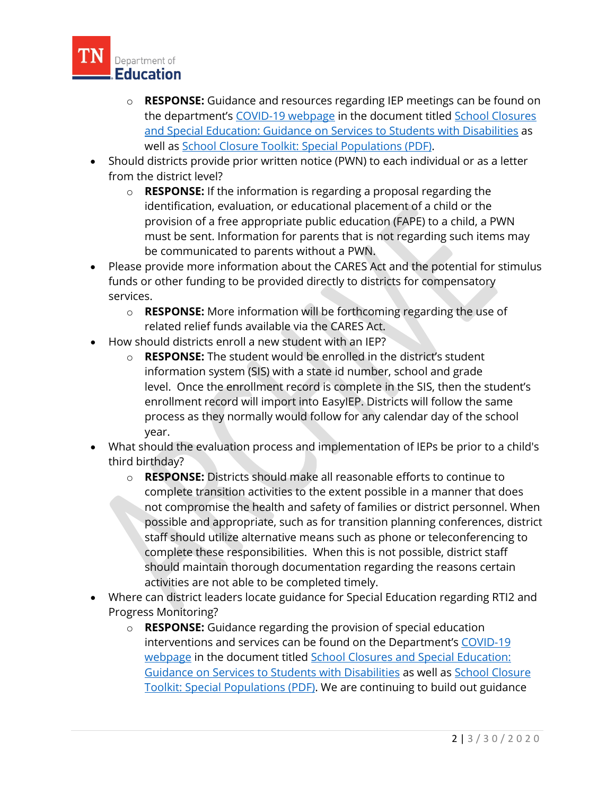

- o **RESPONSE:** Guidance and resources regarding IEP meetings can be found on the department's [COVID-19 webpage](https://www.tn.gov/education/health-and-safety/update-on-coronavirus.html) in the document titled [School Closures](https://www.tn.gov/content/dam/tn/education/health-&-safety/SPED%20Guidance%20COVID_TN%20Final.pdf)  [and Special Education: Guidance on Services to Students with Disabilities](https://www.tn.gov/content/dam/tn/education/health-&-safety/SPED%20Guidance%20COVID_TN%20Final.pdf) as well as [School Closure Toolkit: Special Populations \(PDF\).](https://www.tn.gov/content/dam/tn/education/health-&-safety/School%20Closure%20Toolkit_Special%20Populations.pdf)
- Should districts provide prior written notice (PWN) to each individual or as a letter from the district level?
	- o **RESPONSE:** If the information is regarding a proposal regarding the identification, evaluation, or educational placement of a child or the provision of a free appropriate public education (FAPE) to a child, a PWN must be sent. Information for parents that is not regarding such items may be communicated to parents without a PWN.
- Please provide more information about the CARES Act and the potential for stimulus funds or other funding to be provided directly to districts for compensatory services.
	- o **RESPONSE:** More information will be forthcoming regarding the use of related relief funds available via the CARES Act.
- How should districts enroll a new student with an IEP?
	- o **RESPONSE:** The student would be enrolled in the district's student information system (SIS) with a state id number, school and grade level. Once the enrollment record is complete in the SIS, then the student's enrollment record will import into EasyIEP. Districts will follow the same process as they normally would follow for any calendar day of the school year.
- What should the evaluation process and implementation of IEPs be prior to a child's third birthday?
	- o **RESPONSE:** Districts should make all reasonable efforts to continue to complete transition activities to the extent possible in a manner that does not compromise the health and safety of families or district personnel. When possible and appropriate, such as for transition planning conferences, district staff should utilize alternative means such as phone or teleconferencing to complete these responsibilities. When this is not possible, district staff should maintain thorough documentation regarding the reasons certain activities are not able to be completed timely.
- Where can district leaders locate guidance for Special Education regarding RTI2 and Progress Monitoring?
	- o **RESPONSE:** Guidance regarding the provision of special education interventions and services can be found on the Department's [COVID-19](https://www.tn.gov/education/health-and-safety/update-on-coronavirus.html)  [webpage](https://www.tn.gov/education/health-and-safety/update-on-coronavirus.html) in the document titled [School Closures and Special Education:](https://www.tn.gov/content/dam/tn/education/health-&-safety/SPED%20Guidance%20COVID_TN%20Final.pdf)  [Guidance on Services to Students with Disabilities](https://www.tn.gov/content/dam/tn/education/health-&-safety/SPED%20Guidance%20COVID_TN%20Final.pdf) as well as [School Closure](https://www.tn.gov/content/dam/tn/education/health-&-safety/School%20Closure%20Toolkit_Special%20Populations.pdf)  [Toolkit: Special Populations \(PDF\).](https://www.tn.gov/content/dam/tn/education/health-&-safety/School%20Closure%20Toolkit_Special%20Populations.pdf) We are continuing to build out guidance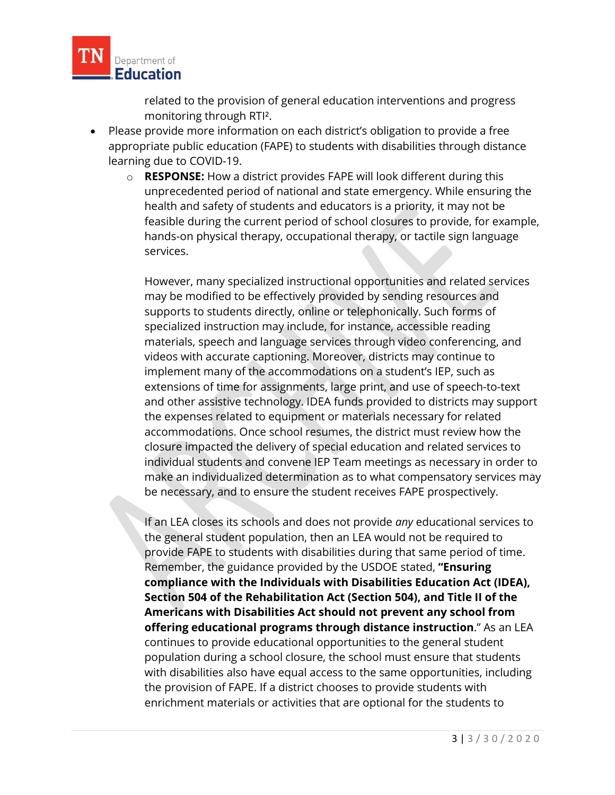

related to the provision of general education interventions and progress monitoring through RTI².

- Please provide more information on each district's obligation to provide a free appropriate public education (FAPE) to students with disabilities through distance learning due to COVID-19.
	- o **RESPONSE:** How a district provides FAPE will look different during this unprecedented period of national and state emergency. While ensuring the health and safety of students and educators is a priority, it may not be feasible during the current period of school closures to provide, for example, hands-on physical therapy, occupational therapy, or tactile sign language services.

However, many specialized instructional opportunities and related services may be modified to be effectively provided by sending resources and supports to students directly, online or telephonically. Such forms of specialized instruction may include, for instance, accessible reading materials, speech and language services through video conferencing, and videos with accurate captioning. Moreover, districts may continue to implement many of the accommodations on a student's IEP, such as extensions of time for assignments, large print, and use of speech-to-text and other assistive technology. IDEA funds provided to districts may support the expenses related to equipment or materials necessary for related accommodations. Once school resumes, the district must review how the closure impacted the delivery of special education and related services to individual students and convene IEP Team meetings as necessary in order to make an individualized determination as to what compensatory services may be necessary, and to ensure the student receives FAPE prospectively.

If an LEA closes its schools and does not provide *any* educational services to the general student population, then an LEA would not be required to provide FAPE to students with disabilities during that same period of time. Remember, the guidance provided by the USDOE stated, **"Ensuring compliance with the Individuals with Disabilities Education Act (IDEA), Section 504 of the Rehabilitation Act (Section 504), and Title II of the Americans with Disabilities Act should not prevent any school from offering educational programs through distance instruction**." As an LEA continues to provide educational opportunities to the general student population during a school closure, the school must ensure that students with disabilities also have equal access to the same opportunities, including the provision of FAPE. If a district chooses to provide students with enrichment materials or activities that are optional for the students to